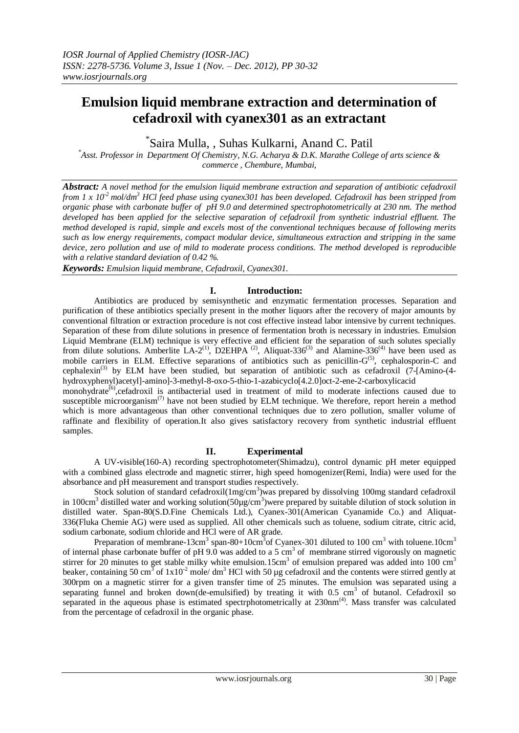# **Emulsion liquid membrane extraction and determination of cefadroxil with cyanex301 as an extractant**

\* Saira Mulla, , Suhas Kulkarni, Anand C. Patil

*\*Asst. Professor in Department Of Chemistry, N.G. Acharya & D.K. Marathe College of arts science & commerce , Chembure, Mumbai,* 

*Abstract: A novel method for the emulsion liquid membrane extraction and separation of antibiotic cefadroxil from 1 x 10-2 mol/dm<sup>3</sup> HCl feed phase using cyanex301 has been developed. Cefadroxil has been stripped from organic phase with carbonate buffer of pH 9.0 and determined spectrophotometrically at 230 nm. The method developed has been applied for the selective separation of cefadroxil from synthetic industrial effluent. The method developed is rapid, simple and excels most of the conventional techniques because of following merits such as low energy requirements, compact modular device, simultaneous extraction and stripping in the same device, zero pollution and use of mild to moderate process conditions. The method developed is reproducible with a relative standard deviation of 0.42 %.*

*Keywords: Emulsion liquid membrane, Cefadroxil, Cyanex301.*

## **I. Introduction:**

Antibiotics are produced by semisynthetic and enzymatic fermentation processes. Separation and purification of these antibiotics specially present in the mother liquors after the recovery of major amounts by conventional filtration or extraction procedure is not cost effective instead labor intensive by current techniques. Separation of these from dilute solutions in presence of fermentation broth is necessary in industries. Emulsion Liquid Membrane (ELM) technique is very effective and efficient for the separation of such solutes specially from dilute solutions. Amberlite LA-2<sup>(1)</sup>, D2EHPA<sup>(2)</sup>, Aliquat-336<sup>(3)</sup> and Alamine-336<sup>(4)</sup> have been used as mobile carriers in ELM. Effective separations of antibiotics such as penicillin-G<sup>(5)</sup>, cephalosporin-C and cephalexin<sup>(3)</sup> by ELM have been studied, but separation of antibiotic such as cefadroxil (7-[Amino-(4hydroxyphenyl)acetyl]-amino]-3-methyl-8-oxo-5-thio-1-azabicyclo[4.2.0]oct-2-ene-2-carboxylicacid

monohydrate<sup>(6)</sup>, cefadroxil is antibacterial used in treatment of mild to moderate infections caused due to susceptible microorganism<sup>(7)</sup> have not been studied by ELM technique. We therefore, report herein a method which is more advantageous than other conventional techniques due to zero pollution, smaller volume of raffinate and flexibility of operation.It also gives satisfactory recovery from synthetic industrial effluent samples.

#### **II. Experimental**

A UV-visible(160-A) recording spectrophotometer(Shimadzu), control dynamic pH meter equipped with a combined glass electrode and magnetic stirrer, high speed homogenizer(Remi, India) were used for the absorbance and pH measurement and transport studies respectively.

Stock solution of standard cefadroxil $(1mg/cm^3)$ was prepared by dissolving 100mg standard cefadroxil in 100cm<sup>3</sup> distilled water and working solution(50µg/cm<sup>3</sup>)were prepared by suitable dilution of stock solution in distilled water. Span-80(S.D.Fine Chemicals Ltd.), Cyanex-301(American Cyanamide Co.) and Aliquat-336(Fluka Chemie AG) were used as supplied. All other chemicals such as toluene, sodium citrate, citric acid, sodium carbonate, sodium chloride and HCl were of AR grade.

Preparation of membrane-13cm<sup>3</sup> span-80+10cm<sup>3</sup> of Cyanex-301 diluted to 100 cm<sup>3</sup> with toluene.10cm<sup>3</sup> of internal phase carbonate buffer of pH 9.0 was added to a 5 cm<sup>3</sup> of membrane stirred vigorously on magnetic stirrer for 20 minutes to get stable milky white emulsion.15cm<sup>3</sup> of emulsion prepared was added into 100 cm<sup>3</sup> beaker, containing 50 cm<sup>3</sup> of  $1x10^2$  mole/dm<sup>3</sup> HCl with 50 µg cefadroxil and the contents were stirred gently at 300rpm on a magnetic stirrer for a given transfer time of 25 minutes. The emulsion was separated using a separating funnel and broken down(de-emulsified) by treating it with  $0.5 \text{ cm}^3$  of butanol. Cefadroxil so separated in the aqueous phase is estimated spectrphotometrically at 230nm<sup>(4)</sup>. Mass transfer was calculated from the percentage of cefadroxil in the organic phase.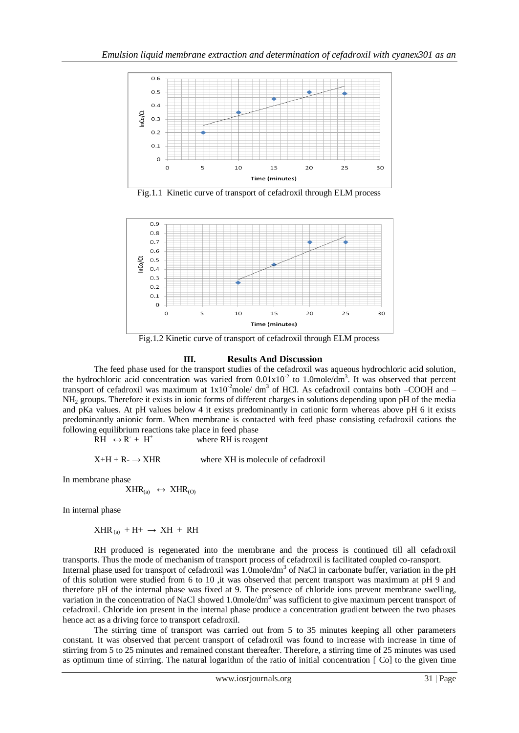

Fig.1.1 Kinetic curve of transport of cefadroxil through ELM process



Fig.1.2 Kinetic curve of transport of cefadroxil through ELM process

### **III. Results And Discussion**

The feed phase used for the transport studies of the cefadroxil was aqueous hydrochloric acid solution, the hydrochloric acid concentration was varied from  $0.01 \times 10^{-2}$  to 1.0mole/dm<sup>3</sup>. It was observed that percent transport of cefadroxil was maximum at  $1x10^2$ mole/dm<sup>3</sup> of HCl. As cefadroxil contains both  $-$ COOH and  $-$ NH<sup>2</sup> groups. Therefore it exists in ionic forms of different charges in solutions depending upon pH of the media and pKa values. At pH values below 4 it exists predominantly in cationic form whereas above pH 6 it exists predominantly anionic form. When membrane is contacted with feed phase consisting cefadroxil cations the following equilibrium reactions take place in feed phase

 $RH \leftrightarrow R^+ + H^+$ where RH is reagent

 $X+H + R - \rightarrow XHR$  where XH is molecule of cefadroxil

In membrane phase

$$
XHR_{(a)} \leftrightarrow XHR_{(O)}
$$

In internal phase

 $XHR_{(a)}$  + H+  $\rightarrow$  XH + RH

RH produced is regenerated into the membrane and the process is continued till all cefadroxil transports. Thus the mode of mechanism of transport process of cefadroxil is facilitated coupled co-ransport. Internal phase used for transport of cefadroxil was 1.0mole/dm<sup>3</sup> of NaCl in carbonate buffer, variation in the pH of this solution were studied from 6 to 10 ,it was observed that percent transport was maximum at pH 9 and therefore pH of the internal phase was fixed at 9. The presence of chloride ions prevent membrane swelling, variation in the concentration of NaCl showed 1.0mole/dm<sup>3</sup> was sufficient to give maximum percent transport of cefadroxil. Chloride ion present in the internal phase produce a concentration gradient between the two phases hence act as a driving force to transport cefadroxil.

The stirring time of transport was carried out from 5 to 35 minutes keeping all other parameters constant. It was observed that percent transport of cefadroxil was found to increase with increase in time of stirring from 5 to 25 minutes and remained constant thereafter. Therefore, a stirring time of 25 minutes was used as optimum time of stirring. The natural logarithm of the ratio of initial concentration [ Co] to the given time